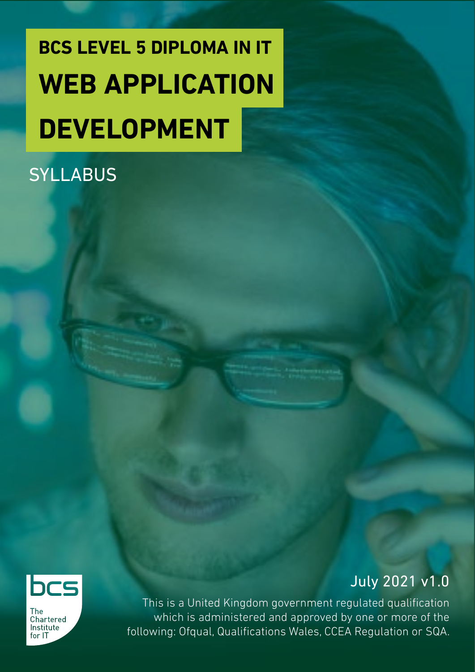# **BCS LEVEL 5 DIPLOMA IN IT WEB APPLICATION DEVELOPMENT**

### **SYLLABUS**



Chartered Institute  $for 1T$ 

July 2021 v1.0

This is a United Kingdom government regulated qualification which is administered and approved by one or more of the following: Ofqual, Qualifications Wales, CCEA Regulation or SQA.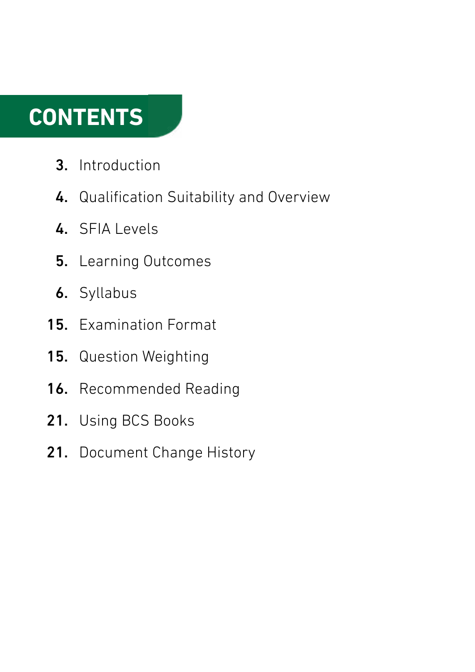### **CONTENTS**

- Introduction 3.
- 4. Qualification Suitability and Overview
- 4. SFIA Levels
- 5. Learning Outcomes
- **6.** Syllabus
- 15. Examination Format
- Question Weighting 15.
- Recommended Reading 16.
- Using BCS Books 21.
- Document Change History 21.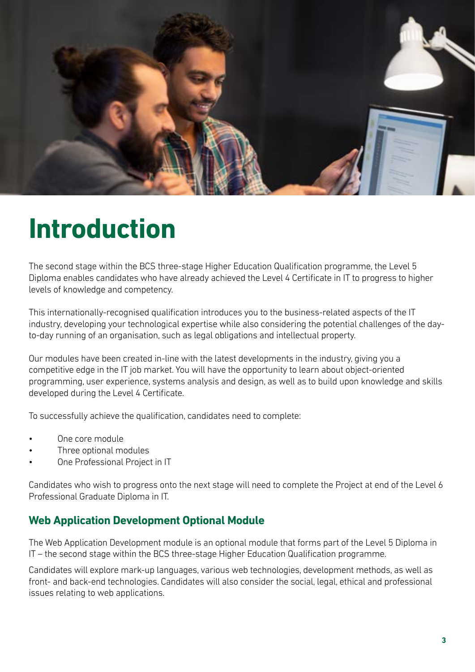

### **Introduction**

The second stage within the BCS three-stage Higher Education Qualification programme, the Level 5 Diploma enables candidates who have already achieved the Level 4 Certificate in IT to progress to higher levels of knowledge and competency.

This internationally-recognised qualification introduces you to the business-related aspects of the IT industry, developing your technological expertise while also considering the potential challenges of the dayto-day running of an organisation, such as legal obligations and intellectual property.

Our modules have been created in-line with the latest developments in the industry, giving you a competitive edge in the IT job market. You will have the opportunity to learn about object-oriented programming, user experience, systems analysis and design, as well as to build upon knowledge and skills developed during the Level 4 Certificate.

To successfully achieve the qualification, candidates need to complete:

- One core module
- Three optional modules
- One Professional Project in IT

Candidates who wish to progress onto the next stage will need to complete the Project at end of the Level 6 Professional Graduate Diploma in IT.

#### **Web Application Development Optional Module**

The Web Application Development module is an optional module that forms part of the Level 5 Diploma in IT – the second stage within the BCS three-stage Higher Education Qualification programme.

Candidates will explore mark-up languages, various web technologies, development methods, as well as front- and back-end technologies. Candidates will also consider the social, legal, ethical and professional issues relating to web applications.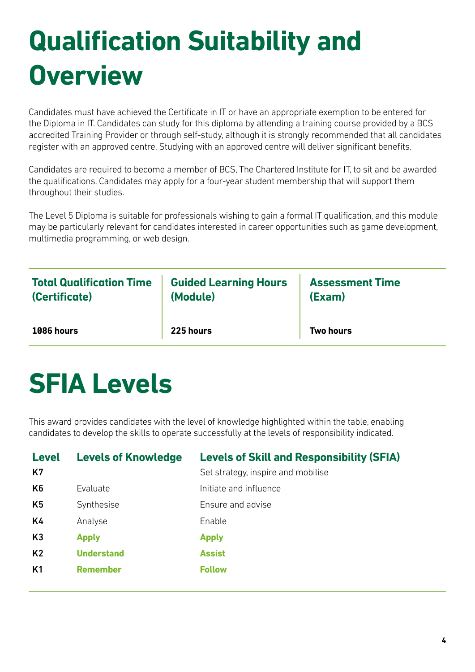# **Qualification Suitability and Overview**

Candidates must have achieved the Certificate in IT or have an appropriate exemption to be entered for the Diploma in IT. Candidates can study for this diploma by attending a training course provided by a BCS accredited Training Provider or through self-study, although it is strongly recommended that all candidates register with an approved centre. Studying with an approved centre will deliver significant benefits.

Candidates are required to become a member of BCS, The Chartered Institute for IT, to sit and be awarded the qualifications. Candidates may apply for a four-year student membership that will support them throughout their studies.

The Level 5 Diploma is suitable for professionals wishing to gain a formal IT qualification, and this module may be particularly relevant for candidates interested in career opportunities such as game development, multimedia programming, or web design.

| <b>Total Qualification Time</b> | <b>Guided Learning Hours</b> | <b>Assessment Time</b> |
|---------------------------------|------------------------------|------------------------|
| (Certificate)                   | (Module)                     | (Exam)                 |
| 1086 hours                      | 225 hours                    | <b>Two hours</b>       |

### **SFIA Levels**

This award provides candidates with the level of knowledge highlighted within the table, enabling candidates to develop the skills to operate successfully at the levels of responsibility indicated.

| <b>Level</b><br>K7 | <b>Levels of Knowledge</b> | <b>Levels of Skill and Responsibility (SFIA)</b><br>Set strategy, inspire and mobilise |
|--------------------|----------------------------|----------------------------------------------------------------------------------------|
| K <sub>6</sub>     | Evaluate                   | Initiate and influence                                                                 |
| K <sub>5</sub>     | Synthesise                 | Ensure and advise                                                                      |
| K4                 | Analyse                    | Enable                                                                                 |
| K <sub>3</sub>     | <b>Apply</b>               | <b>Apply</b>                                                                           |
| K <sub>2</sub>     | <b>Understand</b>          | <b>Assist</b>                                                                          |
| K <sub>1</sub>     | <b>Remember</b>            | <b>Follow</b>                                                                          |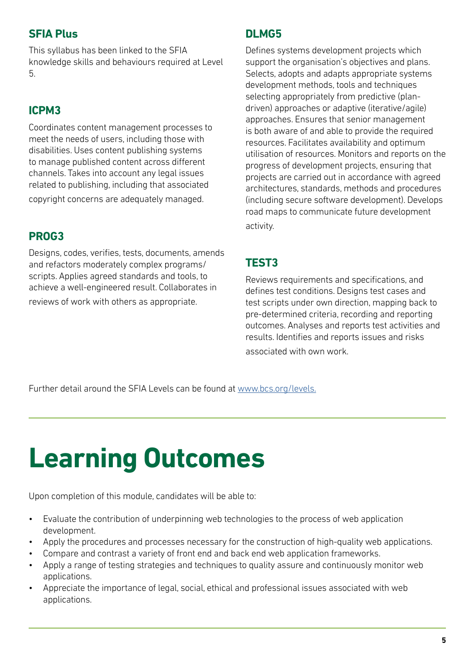#### **SFIA Plus**

This syllabus has been linked to the SFIA knowledge skills and behaviours required at Level 5.

#### **ICPM3**

Coordinates content management processes to meet the needs of users, including those with disabilities. Uses content publishing systems to manage published content across different channels. Takes into account any legal issues related to publishing, including that associated copyright concerns are adequately managed.

#### **PROG3**

Designs, codes, verifies, tests, documents, amends and refactors moderately complex programs/ scripts. Applies agreed standards and tools, to achieve a well-engineered result. Collaborates in reviews of work with others as appropriate.

#### **DLMG5**

Defines systems development projects which support the organisation's objectives and plans. Selects, adopts and adapts appropriate systems development methods, tools and techniques selecting appropriately from predictive (plandriven) approaches or adaptive (iterative/agile) approaches. Ensures that senior management is both aware of and able to provide the required resources. Facilitates availability and optimum utilisation of resources. Monitors and reports on the progress of development projects, ensuring that projects are carried out in accordance with agreed architectures, standards, methods and procedures (including secure software development). Develops road maps to communicate future development activity.

#### **TEST3**

Reviews requirements and specifications, and defines test conditions. Designs test cases and test scripts under own direction, mapping back to pre-determined criteria, recording and reporting outcomes. Analyses and reports test activities and results. Identifies and reports issues and risks associated with own work.

Further detail around the SFIA Levels can be found at [www.bcs.org/levels.](https://www.bcs.org/media/5165/sfia-levels-knowledge.pdf)

# **Learning Outcomes**

Upon completion of this module, candidates will be able to:

- Evaluate the contribution of underpinning web technologies to the process of web application development.
- Apply the procedures and processes necessary for the construction of high-quality web applications.
- Compare and contrast a variety of front end and back end web application frameworks.
- Apply a range of testing strategies and techniques to quality assure and continuously monitor web applications.
- Appreciate the importance of legal, social, ethical and professional issues associated with web applications.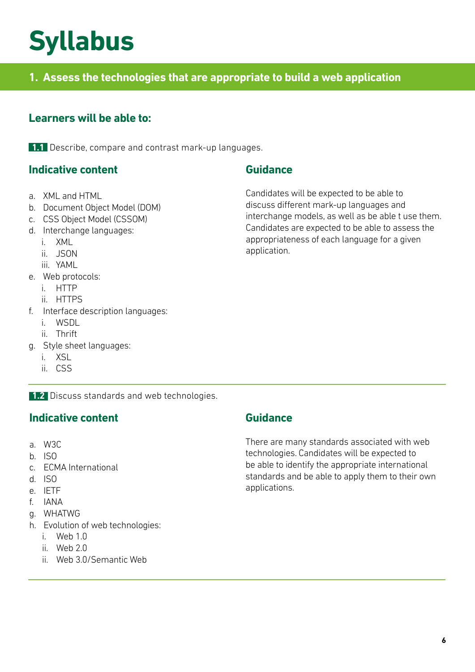### **Syllabus**

#### **1. Assess the technologies that are appropriate to build a web application**

#### **Learners will be able to:**

**1.1** Describe, compare and contrast mark-up languages.

#### **Indicative content**

- a. XML and HTML
- b. Document Object Model (DOM)
- c. CSS Object Model (CSSOM)
- d. Interchange languages:
	- i. XML
	- ii. JSON
	- iii. YAML
- e. Web protocols:
	- i. HTTP
	- ii. HTTPS
- f. Interface description languages:
	- i. WSDL
	- ii. Thrift
- g. Style sheet languages:
	- i. XSL
	- ii. CSS

**1.2** Discuss standards and web technologies.

#### **Indicative content**

- a. W3C
- b. ISO
- c. ECMA International
- d. ISO
- e. IETF
- f. IANA
- g. WHATWG
- h. Evolution of web technologies:
	- i. Web 1.0
	- ii. Web 2.0
	- ii. Web 3.0/Semantic Web

#### **Guidance**

Candidates will be expected to be able to discuss different mark-up languages and interchange models, as well as be able t use them. Candidates are expected to be able to assess the appropriateness of each language for a given application.

#### **Guidance**

There are many standards associated with web technologies. Candidates will be expected to be able to identify the appropriate international standards and be able to apply them to their own applications.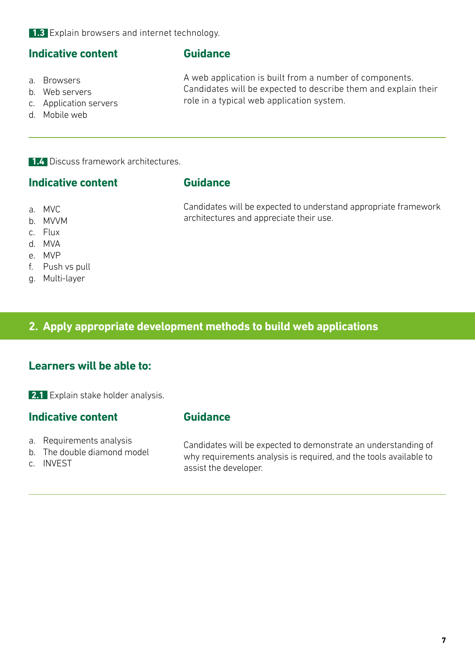**1.3** Explain browsers and internet technology.

#### **Indicative content**

#### **Guidance**

a. Browsers

A web application is built from a number of components. Candidates will be expected to describe them and explain their role in a typical web application system.

Candidates will be expected to understand appropriate framework

architectures and appreciate their use.

- b. Web servers
- c. Application servers
- d. Mobile web

**1.4** Discuss framework architectures.

#### **Indicative content**

#### **Guidance**

- a. MVC
- b. MVVM
- c. Flux
- d. MVA
- e. MVP
- f. Push vs pull
- g. Multi-layer

#### **2. Apply appropriate development methods to build web applications**

#### **Learners will be able to:**

**2.1** Explain stake holder analysis.

#### **Indicative content**

- a. Requirements analysis
- b. The double diamond model
- c. INVEST

### **Guidance**

Candidates will be expected to demonstrate an understanding of why requirements analysis is required, and the tools available to assist the developer.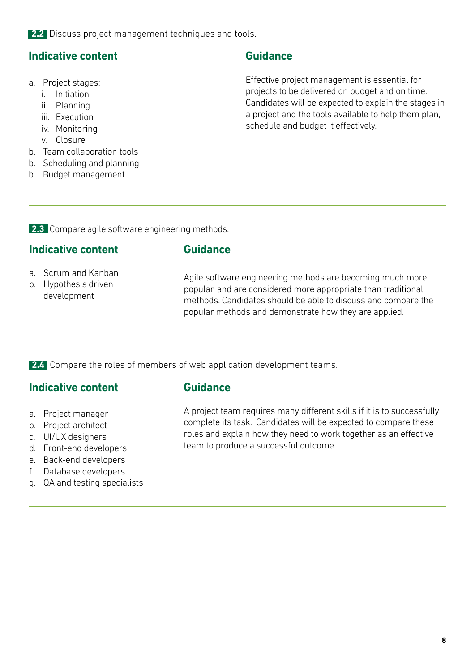**2.2** Discuss project management techniques and tools.

#### **Indicative content**

- a. Project stages:
	- i. Initiation
	- ii. Planning
	- iii. Execution
	- iv. Monitoring
	- v. Closure
- b. Team collaboration tools
- b. Scheduling and planning
- b. Budget management

#### **Guidance**

Effective project management is essential for projects to be delivered on budget and on time. Candidates will be expected to explain the stages in a project and the tools available to help them plan, schedule and budget it effectively.

**2.3** Compare agile software engineering methods.

#### **Indicative content**

#### **Guidance**

- a. Scrum and Kanban
- b. Hypothesis driven development

Agile software engineering methods are becoming much more popular, and are considered more appropriate than traditional methods. Candidates should be able to discuss and compare the popular methods and demonstrate how they are applied.

**2.4** Compare the roles of members of web application development teams.

#### **Indicative content**

- a. Project manager
- b. Project architect
- c. UI/UX designers
- d. Front-end developers
- e. Back-end developers
- f. Database developers
- g. QA and testing specialists

#### **Guidance**

A project team requires many different skills if it is to successfully complete its task. Candidates will be expected to compare these roles and explain how they need to work together as an effective team to produce a successful outcome.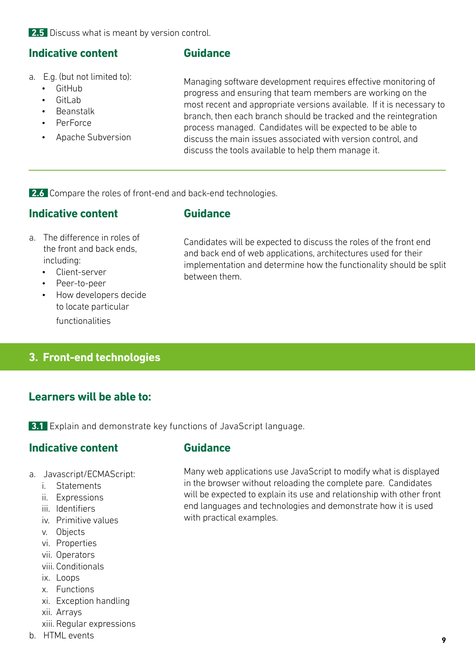**2.5** Discuss what is meant by version control.

#### **Indicative content**

#### **Guidance**

- a. E.g. (but not limited to):
	- GitHub
	- Gitl ab
	- Beanstalk
	- PerForce
	- Apache Subversion

Managing software development requires effective monitoring of progress and ensuring that team members are working on the most recent and appropriate versions available. If it is necessary to branch, then each branch should be tracked and the reintegration process managed. Candidates will be expected to be able to discuss the main issues associated with version control, and discuss the tools available to help them manage it.

**2.6** Compare the roles of front-end and back-end technologies.

#### **Indicative content**

#### **Guidance**

- a. The difference in roles of the front and back ends, including:
	- Client-server
	- Peer-to-peer
	- How developers decide to locate particular functionalities

Candidates will be expected to discuss the roles of the front end and back end of web applications, architectures used for their implementation and determine how the functionality should be split between them.

**3. Front-end technologies**

#### **Learners will be able to:**

**3.1** Explain and demonstrate key functions of JavaScript language.

#### **Indicative content**

- a. Javascript/ECMAScript:
	- i. Statements
	- ii. Expressions
	- iii. Identifiers
	- iv. Primitive values
	- v. Objects
	- vi. Properties
	- vii. Operators
	- viii. Conditionals
	- ix. Loops
	- x. Functions
	- xi. Exception handling
	- xii. Arrays
	- xiii. Regular expressions
- b. HTML events

#### **Guidance**

Many web applications use JavaScript to modify what is displayed in the browser without reloading the complete pare. Candidates will be expected to explain its use and relationship with other front end languages and technologies and demonstrate how it is used with practical examples.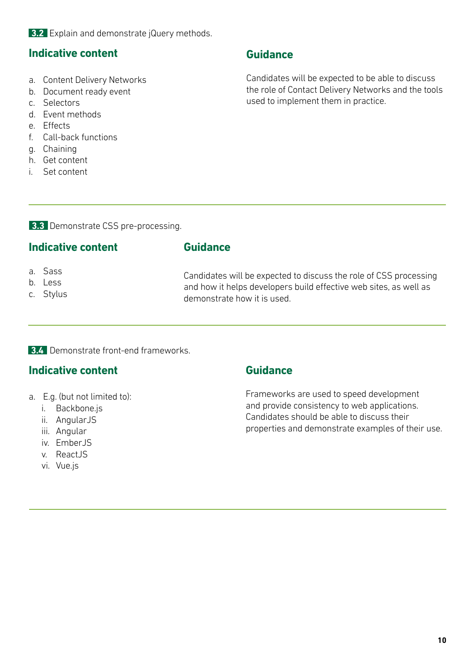**3.2** Explain and demonstrate jQuery methods.

#### **Indicative content**

- a. Content Delivery Networks
- b. Document ready event
- c. Selectors
- d. Event methods
- e. Effects
- f. Call-back functions
- g. Chaining
- h. Get content
- i. Set content

#### **Guidance**

Candidates will be expected to be able to discuss the role of Contact Delivery Networks and the tools used to implement them in practice.

**3.3** Demonstrate CSS pre-processing.

#### **Indicative content**

#### **Guidance**

- a. Sass
- b. Less
- c. Stylus

Candidates will be expected to discuss the role of CSS processing and how it helps developers build effective web sites, as well as demonstrate how it is used.

#### **3.4** Demonstrate front-end frameworks.

#### **Indicative content**

- a. E.g. (but not limited to):
	- i. [Backbone.js](http://Backbone.js)
	- ii. AngularJS
	- iii. Angular
	- iv. Ember IS
	- v. ReactJS
	- vi. [Vue.js](http://Vue.js)

#### **Guidance**

Frameworks are used to speed development and provide consistency to web applications. Candidates should be able to discuss their properties and demonstrate examples of their use.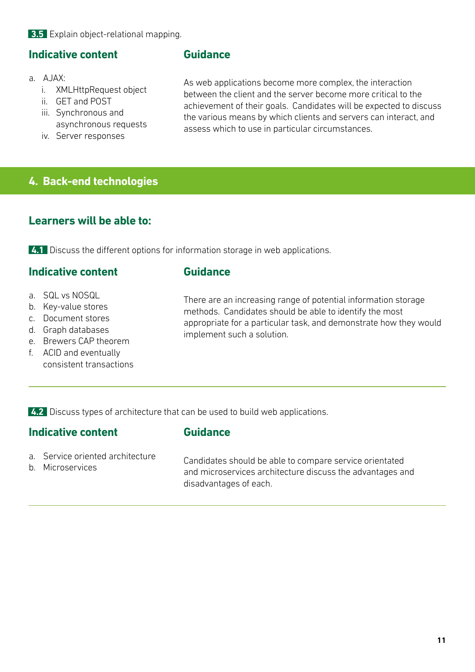#### **3.5** Explain object-relational mapping.

#### **Indicative content**

#### a. AJAX:

- i. XMLHttpRequest object
- ii. GET and POST
- iii. Synchronous and asynchronous requests
- iv. Server responses

#### **Guidance**

As web applications become more complex, the interaction between the client and the server become more critical to the achievement of their goals. Candidates will be expected to discuss the various means by which clients and servers can interact, and assess which to use in particular circumstances.

#### **4. Back-end technologies**

#### **Learners will be able to:**

**4.1** Discuss the different options for information storage in web applications.

#### **Indicative content**

#### **Guidance**

- a. SQL vs NOSQL
- b. Key-value stores
- c. Document stores
- d. Graph databases
- e. Brewers CAP theorem
- f. ACID and eventually consistent transactions

There are an increasing range of potential information storage methods. Candidates should be able to identify the most appropriate for a particular task, and demonstrate how they would implement such a solution.

**4.2** Discuss types of architecture that can be used to build web applications.

#### **Indicative content**

#### **Guidance**

- a. Service oriented architecture
- b. Microservices

Candidates should be able to compare service orientated and microservices architecture discuss the advantages and disadvantages of each.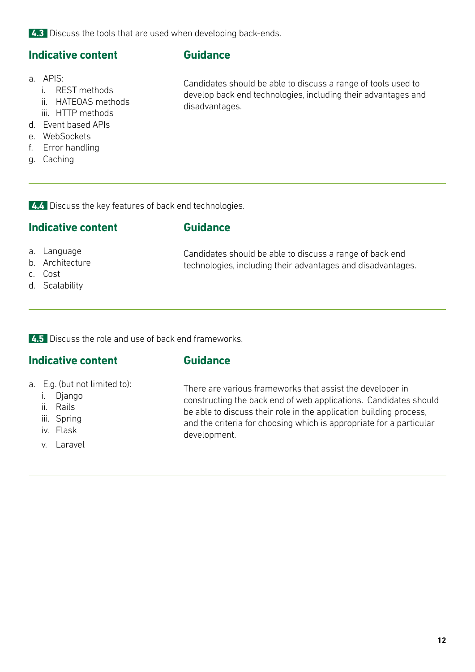**4.3** Discuss the tools that are used when developing back-ends.

#### **Indicative content**

#### **Guidance**

a. APIS:

- i. REST methods
- ii. HATEOAS methods
- iii. HTTP methods
- d. Event based APIs
- e. WebSockets
- f. Error handling
- g. Caching

Candidates should be able to discuss a range of tools used to develop back end technologies, including their advantages and disadvantages.

**4.4** Discuss the key features of back end technologies.

#### **Indicative content**

#### **Guidance**

- a. Language
- b. Architecture
- c. Cost
- d. Scalability

Candidates should be able to discuss a range of back end technologies, including their advantages and disadvantages.

**4.5** Discuss the role and use of back end frameworks.

#### **Indicative content**

#### **Guidance**

- a. E.g. (but not limited to):
	- i. Django
	- ii. Rails
	- iii. Spring
	- iv. Flask
	- v. Laravel

There are various frameworks that assist the developer in constructing the back end of web applications. Candidates should be able to discuss their role in the application building process, and the criteria for choosing which is appropriate for a particular development.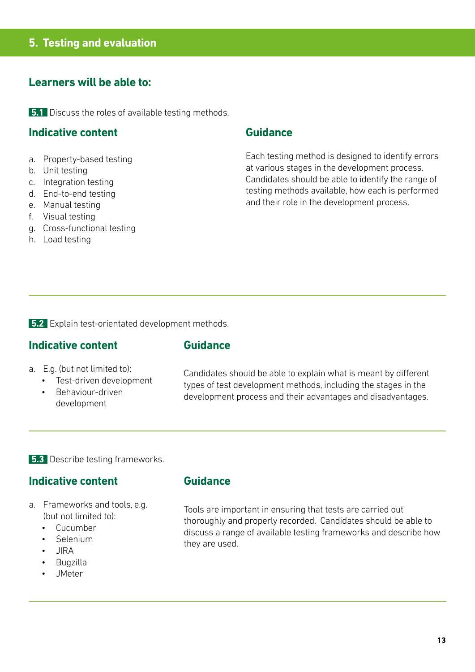#### **Learners will be able to:**

**5.1** Discuss the roles of available testing methods.

#### **Indicative content**

- a. Property-based testing
- b. Unit testing
- c. Integration testing
- d. End-to-end testing
- e. Manual testing
- f. Visual testing
- g. Cross-functional testing
- h. Load testing

#### **Guidance**

Each testing method is designed to identify errors at various stages in the development process. Candidates should be able to identify the range of testing methods available, how each is performed and their role in the development process.

**5.2** Explain test-orientated development methods.

#### **Indicative content**

#### **Guidance**

- a. E.g. (but not limited to):
	- Test-driven development
	- Behaviour-driven development

Candidates should be able to explain what is meant by different types of test development methods, including the stages in the development process and their advantages and disadvantages.

#### **5.3** Describe testing frameworks.

#### **Indicative content**

- a. Frameworks and tools, e.g. (but not limited to):
	- Cucumber
	- Selenium
	- JIRA
	- Bugzilla
	- JMeter

#### **Guidance**

Tools are important in ensuring that tests are carried out thoroughly and properly recorded. Candidates should be able to discuss a range of available testing frameworks and describe how they are used.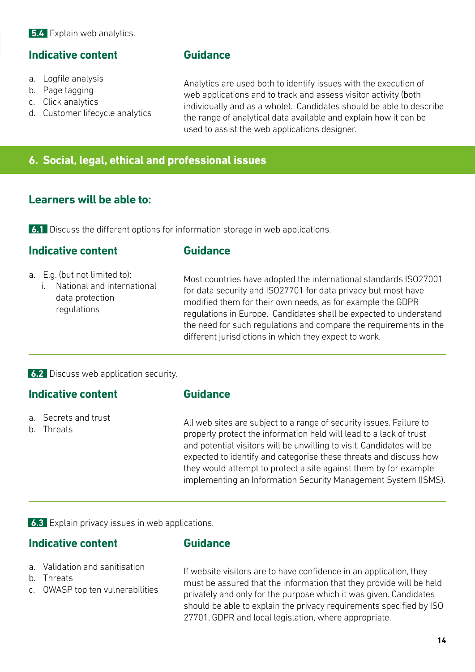#### **5.4** Explain web analytics.

#### **Indicative content**

#### **Guidance**

- a. Logfile analysis
- b. Page tagging
- c. Click analytics
- d. Customer lifecycle analytics

Analytics are used both to identify issues with the execution of web applications and to track and assess visitor activity (both individually and as a whole). Candidates should be able to describe the range of analytical data available and explain how it can be used to assist the web applications designer.

#### **6. Social, legal, ethical and professional issues**

#### **Learners will be able to:**

**6.1** Discuss the different options for information storage in web applications.

#### **Indicative content**

#### **Guidance**

- a. E.g. (but not limited to):
	- i. National and international data protection regulations

Most countries have adopted the international standards ISO27001 for data security and ISO27701 for data privacy but most have modified them for their own needs, as for example the GDPR regulations in Europe. Candidates shall be expected to understand the need for such regulations and compare the requirements in the different jurisdictions in which they expect to work.

#### **6.2** Discuss web application security.

#### **Indicative content**

- a. Secrets and trust
- b. Threats

#### **Guidance**

All web sites are subject to a range of security issues. Failure to properly protect the information held will lead to a lack of trust and potential visitors will be unwilling to visit. Candidates will be expected to identify and categorise these threats and discuss how they would attempt to protect a site against them by for example implementing an Information Security Management System (ISMS).

**6.3** Explain privacy issues in web applications.

#### **Indicative content**

#### **Guidance**

- a. Validation and sanitisation
- b. Threats
- c. OWASP top ten vulnerabilities

If website visitors are to have confidence in an application, they must be assured that the information that they provide will be held privately and only for the purpose which it was given. Candidates should be able to explain the privacy requirements specified by ISO 27701, GDPR and local legislation, where appropriate.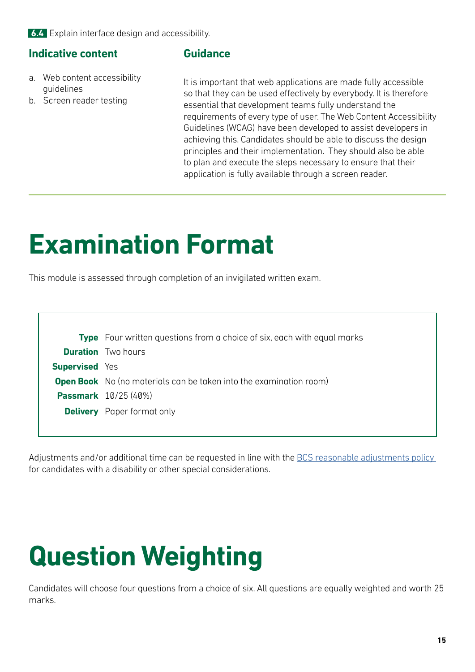**6.4** Explain interface design and accessibility.

#### **Indicative content**

#### **Guidance**

- a. Web content accessibility guidelines
- b. Screen reader testing

It is important that web applications are made fully accessible so that they can be used effectively by everybody. It is therefore essential that development teams fully understand the requirements of every type of user. The Web Content Accessibility Guidelines (WCAG) have been developed to assist developers in achieving this. Candidates should be able to discuss the design principles and their implementation. They should also be able to plan and execute the steps necessary to ensure that their application is fully available through a screen reader.

### **Examination Format**

This module is assessed through completion of an invigilated written exam.

|                       | <b>Type</b> Four written questions from a choice of six, each with equal marks |
|-----------------------|--------------------------------------------------------------------------------|
|                       | <b>Duration</b> Two hours                                                      |
| <b>Supervised</b> Yes |                                                                                |
|                       | <b>Open Book</b> No (no materials can be taken into the examination room)      |
|                       | <b>Passmark</b> 10/25 (40%)                                                    |
|                       | <b>Delivery</b> Paper format only                                              |
|                       |                                                                                |

Adjustments and/or additional time can be requested in line with the BCS reasonable adjustments policy for candidates with a disability or other special considerations.

# **Question Weighting**

Candidates will choose four questions from a choice of six. All questions are equally weighted and worth 25 marks.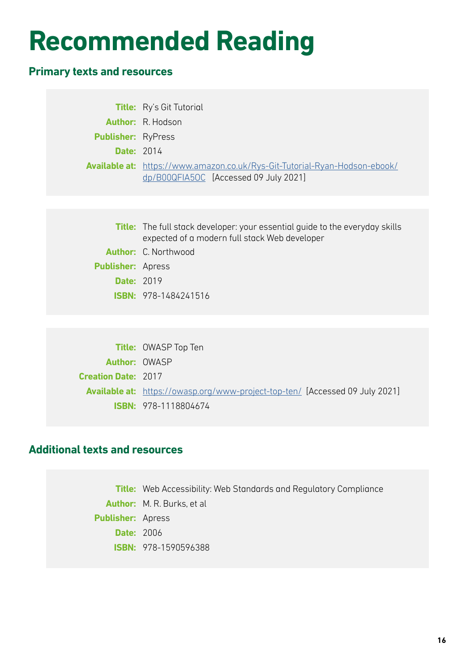### **Recommended Reading**

#### **Primary texts and resources**

|                           | <b>Title:</b> Ry's Git Tutorial                                                                                                      |
|---------------------------|--------------------------------------------------------------------------------------------------------------------------------------|
|                           | <b>Author:</b> R. Hodson                                                                                                             |
| <b>Publisher: RyPress</b> |                                                                                                                                      |
| <b>Date: 2014</b>         |                                                                                                                                      |
|                           | <b>Available at:</b> https://www.amazon.co.uk/Rys-Git-Tutorial-Ryan-Hodson-ebook/<br>dp/B00QFIA5OC [Accessed 09 July 2021]           |
|                           |                                                                                                                                      |
|                           | <b>Title:</b> The full stack developer: your essential guide to the everyday skills<br>expected of a modern full stack Web developer |
|                           | Author: C. Northwood                                                                                                                 |
| <b>Publisher: Apress</b>  |                                                                                                                                      |
| <b>Date: 2019</b>         |                                                                                                                                      |
|                           | <b>ISBN: 978-1484241516</b>                                                                                                          |
|                           |                                                                                                                                      |

|                            | <b>Title: OWASP Top Ten</b>                                                         |
|----------------------------|-------------------------------------------------------------------------------------|
| <b>Author: OWASP</b>       |                                                                                     |
| <b>Creation Date: 2017</b> |                                                                                     |
|                            | <b>Available at:</b> https://owasp.org/www-project-top-ten/ [Accessed 09 July 2021] |
|                            | <b>ISBN: 978-1118804674</b>                                                         |

#### **Additional texts and resources**

**Title:** Web Accessibility: Web Standards and Regulatory Compliance **Author:** M. R. Burks, et al **Publisher:** Apress **Date:** 2006 **ISBN:** 978-1590596388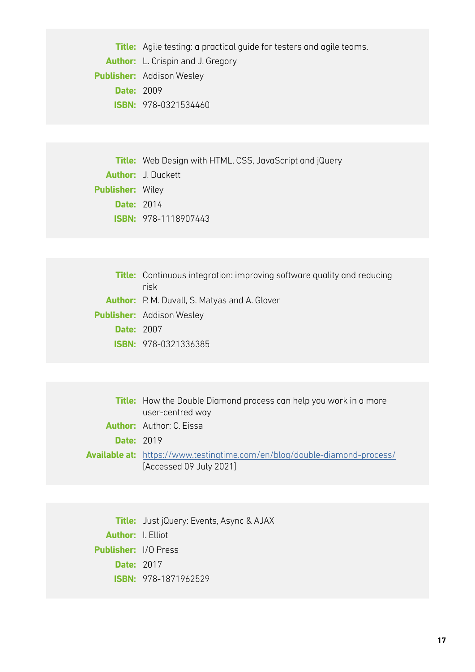**Title:** Agile testing: a practical guide for testers and agile teams. **Author:** L. Crispin and J. Gregory **Publisher:** Addison Wesley **Date:** 2009 **ISBN:** 978-0321534460

**Title:** Web Design with HTML, CSS, JavaScript and jQuery **Author:** J. Duckett **Publisher:** Wiley **Date:** 2014 **ISBN:** 978-1118907443

|                   | <b>Title:</b> Continuous integration: improving software quality and reducing<br>risk |
|-------------------|---------------------------------------------------------------------------------------|
|                   | <b>Author:</b> P. M. Duvall, S. Matyas and A. Glover                                  |
|                   | <b>Publisher:</b> Addison Wesley                                                      |
| <b>Date: 2007</b> |                                                                                       |
|                   | <b>ISBN: 978-0321336385</b>                                                           |

|                   | <b>Title:</b> How the Double Diamond process can help you work in a more                                    |  |
|-------------------|-------------------------------------------------------------------------------------------------------------|--|
|                   | user-centred way                                                                                            |  |
|                   | <b>Author:</b> Author: C. Eissa                                                                             |  |
| <b>Date: 2019</b> |                                                                                                             |  |
|                   | <b>Available at:</b> https://www.testingtime.com/en/blog/double-diamond-process/<br>[Accessed 09 July 2021] |  |

**Title:** Just jQuery: Events, Async & AJAX **Author:** I. Elliot **Publisher:** I/O Press **Date:** 2017 **ISBN:** 978-1871962529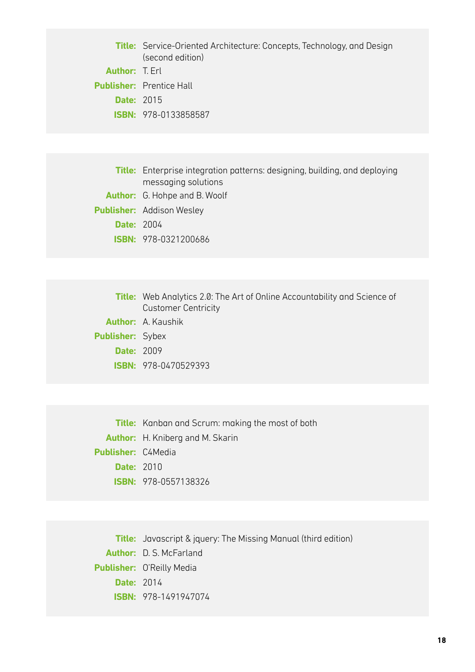**Title:** Service-Oriented Architecture: Concepts, Technology, and Design (second edition)

**Author:** T. Erl **Publisher:** Prentice Hall **Date:** 2015 **ISBN:** 978-0133858587

**Title:** Enterprise integration patterns: designing, building, and deploying messaging solutions **Author:** G. Hohpe and B. Woolf **Publisher:** Addison Wesley **Date:** 2004 **ISBN:** 978-0321200686

|                         | <b>Title:</b> Web Analytics 2.0: The Art of Online Accountability and Science of<br><b>Customer Centricity</b> |
|-------------------------|----------------------------------------------------------------------------------------------------------------|
|                         | <b>Author:</b> A. Kaushik                                                                                      |
| <b>Publisher: Sybex</b> |                                                                                                                |
| <b>Date: 2009</b>       |                                                                                                                |
|                         | <b>ISBN: 978-0470529393</b>                                                                                    |

**Title:** Kanban and Scrum: making the most of both **Author:** H. Kniberg and M. Skarin **Publisher:** C4Media **Date:** 2010 **ISBN:** 978-0557138326

**Title:** Javascript & jquery: The Missing Manual (third edition) **Author:** D. S. McFarland **Publisher:** O'Reilly Media **Date:** 2014 **ISBN:** 978-1491947074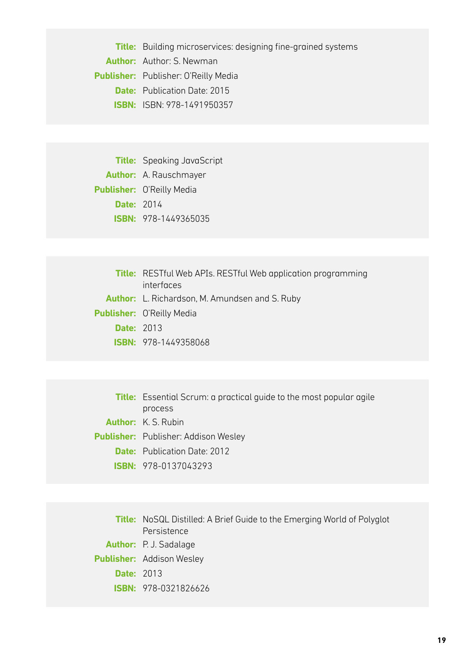**Title:** Building microservices: designing fine-grained systems **Author:** Author: S. Newman **Publisher:** Publisher: O'Reilly Media **Date:** Publication Date: 2015 **ISBN:** ISBN: 978-1491950357

**Title:** Speaking JavaScript **Author:** A. Rauschmayer **Publisher:** O'Reilly Media **Date:** 2014 **ISBN:** 978-1449365035

|                   | <b>Title:</b> RESTful Web APIs. RESTful Web application programming |  |
|-------------------|---------------------------------------------------------------------|--|
|                   | interfaces                                                          |  |
|                   | <b>Author:</b> L. Richardson, M. Amundsen and S. Ruby               |  |
|                   | <b>Publisher:</b> O'Reilly Media                                    |  |
| <b>Date: 2013</b> |                                                                     |  |
|                   | <b>ISBN: 978-1449358068</b>                                         |  |

**Title:** Essential Scrum: a practical guide to the most popular agile process **Author:** K. S. Rubin **Publisher:** Publisher: Addison Wesley **Date:** Publication Date: 2012 **ISBN:** 978-0137043293

**Title:** NoSQL Distilled: A Brief Guide to the Emerging World of Polyglot Persistence **Author:** P. J. Sadalage **Publisher:** Addison Wesley **Date:** 2013 **ISBN:** 978-0321826626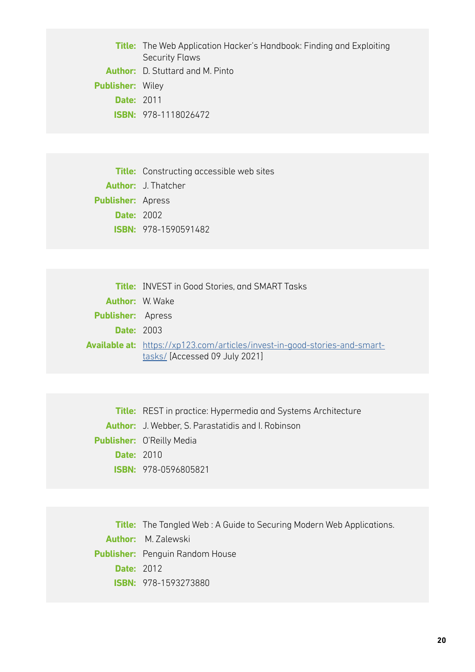**Title:** The Web Application Hacker's Handbook: Finding and Exploiting Security Flaws **Author:** D. Stuttard and M. Pinto **Publisher:** Wiley **Date:** 2011 **ISBN:** 978-1118026472

**Title:** Constructing accessible web sites **Author:** J. Thatcher **Publisher:** Apress **Date:** 2002 **ISBN:** 978-1590591482

|                          | <b>Title:</b> INVEST in Good Stories, and SMART Tasks                                                               |  |
|--------------------------|---------------------------------------------------------------------------------------------------------------------|--|
|                          | <b>Author:</b> W. Wake                                                                                              |  |
| <b>Publisher:</b> Apress |                                                                                                                     |  |
| <b>Date: 2003</b>        |                                                                                                                     |  |
|                          | <b>Available at:</b> https://xp123.com/articles/invest-in-good-stories-and-smart-<br>tasks/ [Accessed 09 July 2021] |  |

**Title:** REST in practice: Hypermedia and Systems Architecture **Author:** J. Webber, S. Parastatidis and I. Robinson **Publisher:** O'Reilly Media **Date:** 2010 **ISBN:** 978-0596805821

**Title:** The Tangled Web : A Guide to Securing Modern Web Applications. **Author:** M. Zalewski **Publisher:** Penguin Random House **Date:** 2012 **ISBN:** 978-1593273880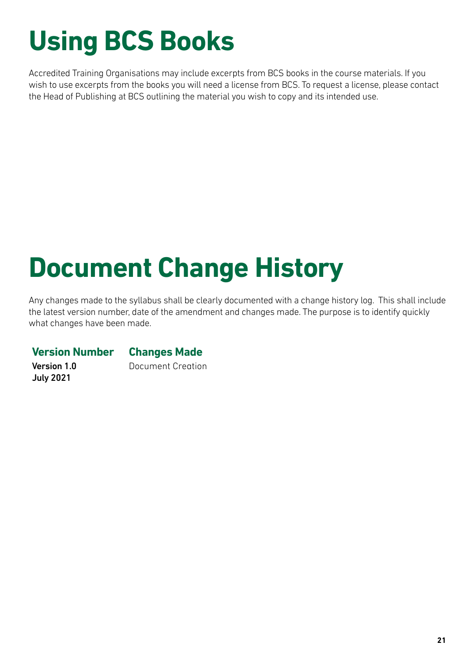# **Using BCS Books**

Accredited Training Organisations may include excerpts from BCS books in the course materials. If you wish to use excerpts from the books you will need a license from BCS. To request a license, please contact the Head of Publishing at BCS outlining the material you wish to copy and its intended use.

# **Document Change History**

Any changes made to the syllabus shall be clearly documented with a change history log. This shall include the latest version number, date of the amendment and changes made. The purpose is to identify quickly what changes have been made.

#### **Version Number Changes Made**

Version 1.0 July 2021

Document Creation